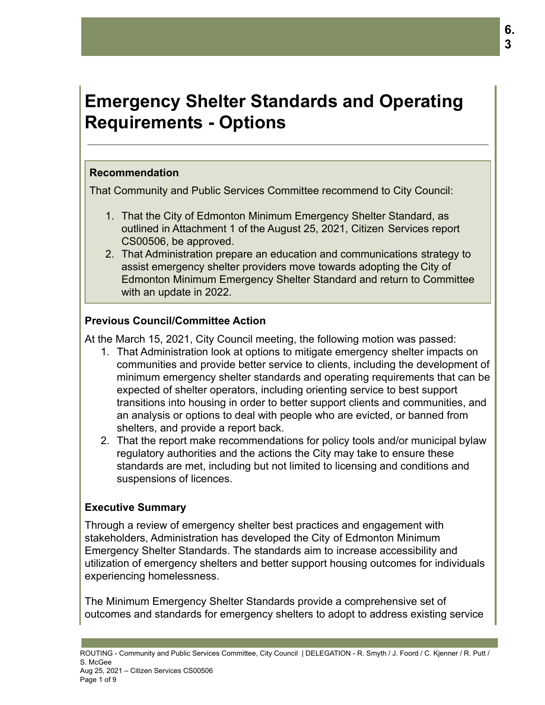# **Emergency Shelter Standards and Operating Requirements - Options**

# **Recommendation**

That Community and Public Services Committee recommend to City Council:

- 1. That the City of Edmonton Minimum Emergency Shelter Standard, as outlined in Attachment 1 of the August 25, 2021, Citizen Services report CS00506, be approved.
- 2. That Administration prepare an education and communications strategy to assist emergency shelter providers move towards adopting the City of Edmonton Minimum Emergency Shelter Standard and return to Committee with an update in 2022.

# **Previous Council/Committee Action**

At the March 15, 2021, City Council meeting, the following motion was passed:

- 1. That Administration look at options to mitigate emergency shelter impacts on communities and provide better service to clients, including the development of minimum emergency shelter standards and operating requirements that can be expected of shelter operators, including orienting service to best support transitions into housing in order to better support clients and communities, and an analysis or options to deal with people who are evicted, or banned from shelters, and provide a report back.
- 2. That the report make recommendations for policy tools and/or municipal bylaw regulatory authorities and the actions the City may take to ensure these standards are met, including but not limited to licensing and conditions and suspensions of licences.

# **Executive Summary**

Through a review of emergency shelter best practices and engagement with stakeholders, Administration has developed the City of Edmonton Minimum Emergency Shelter Standards. The standards aim to increase accessibility and utilization of emergency shelters and better support housing outcomes for individuals experiencing homelessness.

The Minimum Emergency Shelter Standards provide a comprehensive set of outcomes and standards for emergency shelters to adopt to address existing service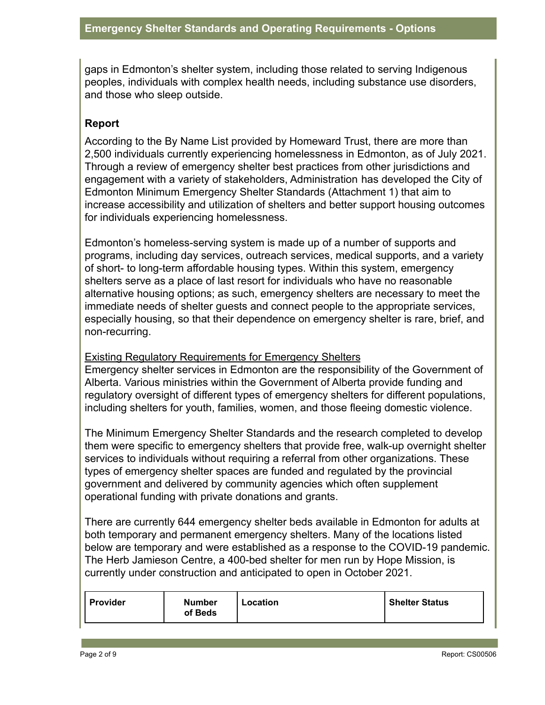gaps in Edmonton's shelter system, including those related to serving Indigenous peoples, individuals with complex health needs, including substance use disorders, and those who sleep outside.

### **Report**

According to the By Name List provided by Homeward Trust, there are more than 2,500 individuals currently experiencing homelessness in Edmonton, as of July 2021. Through a review of emergency shelter best practices from other jurisdictions and engagement with a variety of stakeholders, Administration has developed the City of Edmonton Minimum Emergency Shelter Standards (Attachment 1) that aim to increase accessibility and utilization of shelters and better support housing outcomes for individuals experiencing homelessness.

Edmonton's homeless-serving system is made up of a number of supports and programs, including day services, outreach services, medical supports, and a variety of short- to long-term affordable housing types. Within this system, emergency shelters serve as a place of last resort for individuals who have no reasonable alternative housing options; as such, emergency shelters are necessary to meet the immediate needs of shelter guests and connect people to the appropriate services, especially housing, so that their dependence on emergency shelter is rare, brief, and non-recurring.

Existing Regulatory Requirements for Emergency Shelters Emergency shelter services in Edmonton are the responsibility of the Government of Alberta. Various ministries within the Government of Alberta provide funding and regulatory oversight of different types of emergency shelters for different populations, including shelters for youth, families, women, and those fleeing domestic violence.

The Minimum Emergency Shelter Standards and the research completed to develop them were specific to emergency shelters that provide free, walk-up overnight shelter services to individuals without requiring a referral from other organizations. These types of emergency shelter spaces are funded and regulated by the provincial government and delivered by community agencies which often supplement operational funding with private donations and grants.

There are currently 644 emergency shelter beds available in Edmonton for adults at both temporary and permanent emergency shelters. Many of the locations listed below are temporary and were established as a response to the COVID-19 pandemic. The Herb Jamieson Centre, a 400-bed shelter for men run by Hope Mission, is currently under construction and anticipated to open in October 2021.

| Provider | Number<br>-ocation<br>of Beds |  | <b>Shelter Status</b> |
|----------|-------------------------------|--|-----------------------|
|----------|-------------------------------|--|-----------------------|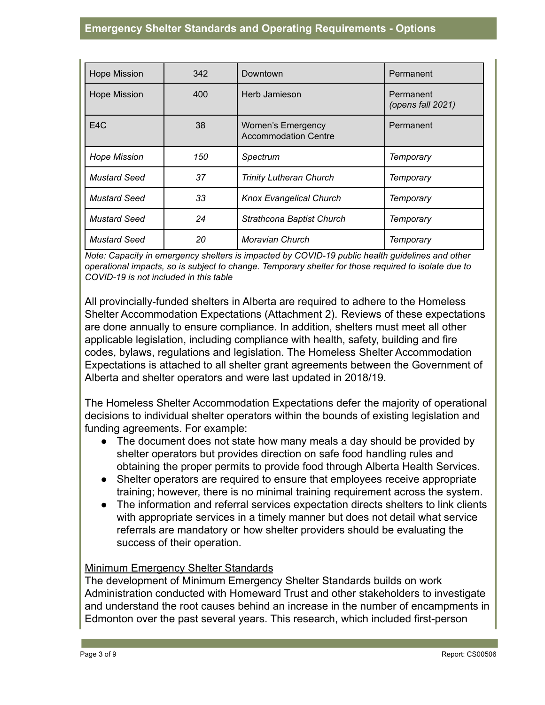| <b>Hope Mission</b> | 342 | Downtown                                                | Permanent                      |  |
|---------------------|-----|---------------------------------------------------------|--------------------------------|--|
| <b>Hope Mission</b> | 400 | Herb Jamieson                                           | Permanent<br>(opens fall 2021) |  |
| E <sub>4</sub> C    | 38  | <b>Women's Emergency</b><br><b>Accommodation Centre</b> | Permanent                      |  |
| <b>Hope Mission</b> | 150 | Spectrum                                                | <b>Temporary</b>               |  |
| <b>Mustard Seed</b> | 37  | <b>Trinity Lutheran Church</b>                          | <b>Temporary</b>               |  |
| <b>Mustard Seed</b> | 33  | <b>Knox Evangelical Church</b>                          | <b>Temporary</b>               |  |
| <b>Mustard Seed</b> | 24  | <b>Strathcona Baptist Church</b>                        | <b>Temporary</b>               |  |
| <b>Mustard Seed</b> | 20  | Moravian Church                                         | Temporary                      |  |

*Note: Capacity in emergency shelters is impacted by COVID-19 public health guidelines and other operational impacts, so is subject to change. Temporary shelter for those required to isolate due to COVID-19 is not included in this table*

All provincially-funded shelters in Alberta are required to adhere to the Homeless Shelter Accommodation Expectations (Attachment 2). Reviews of these expectations are done annually to ensure compliance. In addition, shelters must meet all other applicable legislation, including compliance with health, safety, building and fire codes, bylaws, regulations and legislation. The Homeless Shelter Accommodation Expectations is attached to all shelter grant agreements between the Government of Alberta and shelter operators and were last updated in 2018/19.

The Homeless Shelter Accommodation Expectations defer the majority of operational decisions to individual shelter operators within the bounds of existing legislation and funding agreements. For example:

- The document does not state how many meals a day should be provided by shelter operators but provides direction on safe food handling rules and obtaining the proper permits to provide food through Alberta Health Services.
- Shelter operators are required to ensure that employees receive appropriate training; however, there is no minimal training requirement across the system.
- The information and referral services expectation directs shelters to link clients with appropriate services in a timely manner but does not detail what service referrals are mandatory or how shelter providers should be evaluating the success of their operation.

# Minimum Emergency Shelter Standards

The development of Minimum Emergency Shelter Standards builds on work Administration conducted with Homeward Trust and other stakeholders to investigate and understand the root causes behind an increase in the number of encampments in Edmonton over the past several years. This research, which included first-person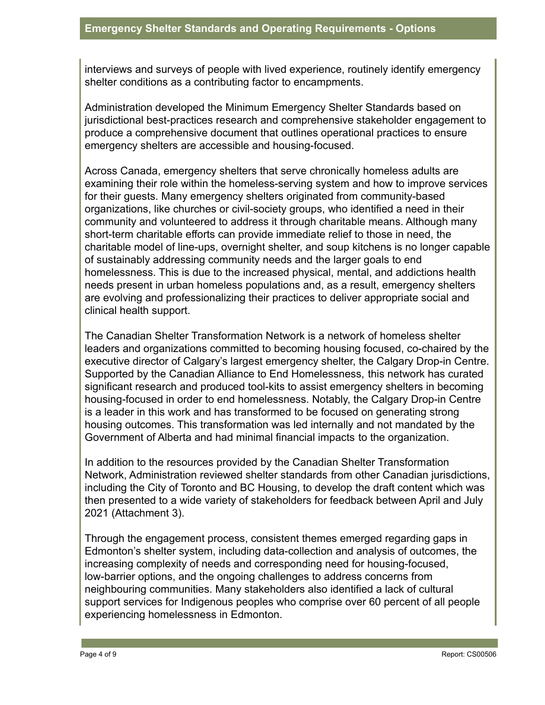interviews and surveys of people with lived experience, routinely identify emergency shelter conditions as a contributing factor to encampments.

Administration developed the Minimum Emergency Shelter Standards based on jurisdictional best-practices research and comprehensive stakeholder engagement to produce a comprehensive document that outlines operational practices to ensure emergency shelters are accessible and housing-focused.

Across Canada, emergency shelters that serve chronically homeless adults are examining their role within the homeless-serving system and how to improve services for their guests. Many emergency shelters originated from community-based organizations, like churches or civil-society groups, who identified a need in their community and volunteered to address it through charitable means. Although many short-term charitable efforts can provide immediate relief to those in need, the charitable model of line-ups, overnight shelter, and soup kitchens is no longer capable of sustainably addressing community needs and the larger goals to end homelessness. This is due to the increased physical, mental, and addictions health needs present in urban homeless populations and, as a result, emergency shelters are evolving and professionalizing their practices to deliver appropriate social and clinical health support.

The Canadian Shelter Transformation Network is a network of homeless shelter leaders and organizations committed to becoming housing focused, co-chaired by the executive director of Calgary's largest emergency shelter, the Calgary Drop-in Centre. Supported by the Canadian Alliance to End Homelessness, this network has curated significant research and produced tool-kits to assist emergency shelters in becoming housing-focused in order to end homelessness. Notably, the Calgary Drop-in Centre is a leader in this work and has transformed to be focused on generating strong housing outcomes. This transformation was led internally and not mandated by the Government of Alberta and had minimal financial impacts to the organization.

In addition to the resources provided by the Canadian Shelter Transformation Network, Administration reviewed shelter standards from other Canadian jurisdictions, including the City of Toronto and BC Housing, to develop the draft content which was then presented to a wide variety of stakeholders for feedback between April and July 2021 (Attachment 3).

Through the engagement process, consistent themes emerged regarding gaps in Edmonton's shelter system, including data-collection and analysis of outcomes, the increasing complexity of needs and corresponding need for housing-focused, low-barrier options, and the ongoing challenges to address concerns from neighbouring communities. Many stakeholders also identified a lack of cultural support services for Indigenous peoples who comprise over 60 percent of all people experiencing homelessness in Edmonton.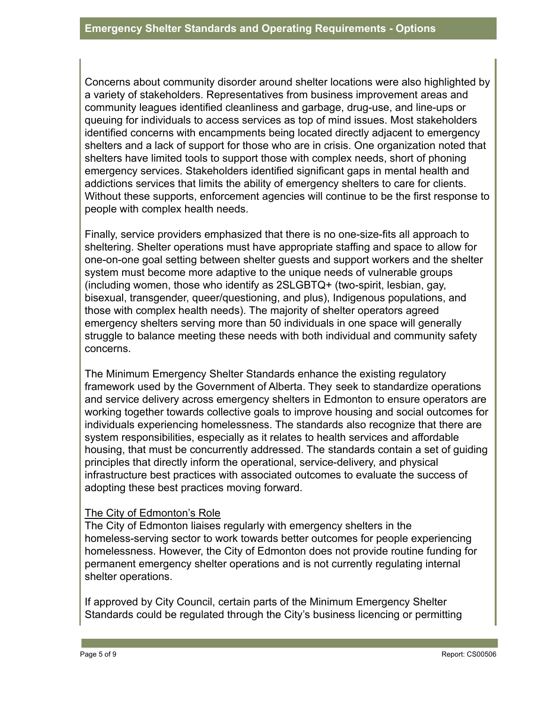Concerns about community disorder around shelter locations were also highlighted by a variety of stakeholders. Representatives from business improvement areas and community leagues identified cleanliness and garbage, drug-use, and line-ups or queuing for individuals to access services as top of mind issues. Most stakeholders identified concerns with encampments being located directly adjacent to emergency shelters and a lack of support for those who are in crisis. One organization noted that shelters have limited tools to support those with complex needs, short of phoning emergency services. Stakeholders identified significant gaps in mental health and addictions services that limits the ability of emergency shelters to care for clients. Without these supports, enforcement agencies will continue to be the first response to people with complex health needs.

Finally, service providers emphasized that there is no one-size-fits all approach to sheltering. Shelter operations must have appropriate staffing and space to allow for one-on-one goal setting between shelter guests and support workers and the shelter system must become more adaptive to the unique needs of vulnerable groups (including women, those who identify as 2SLGBTQ+ (two-spirit, lesbian, gay, bisexual, transgender, queer/questioning, and plus), Indigenous populations, and those with complex health needs). The majority of shelter operators agreed emergency shelters serving more than 50 individuals in one space will generally struggle to balance meeting these needs with both individual and community safety concerns.

The Minimum Emergency Shelter Standards enhance the existing regulatory framework used by the Government of Alberta. They seek to standardize operations and service delivery across emergency shelters in Edmonton to ensure operators are working together towards collective goals to improve housing and social outcomes for individuals experiencing homelessness. The standards also recognize that there are system responsibilities, especially as it relates to health services and affordable housing, that must be concurrently addressed. The standards contain a set of guiding principles that directly inform the operational, service-delivery, and physical infrastructure best practices with associated outcomes to evaluate the success of adopting these best practices moving forward.

#### The City of Edmonton's Role

The City of Edmonton liaises regularly with emergency shelters in the homeless-serving sector to work towards better outcomes for people experiencing homelessness. However, the City of Edmonton does not provide routine funding for permanent emergency shelter operations and is not currently regulating internal shelter operations.

If approved by City Council, certain parts of the Minimum Emergency Shelter Standards could be regulated through the City's business licencing or permitting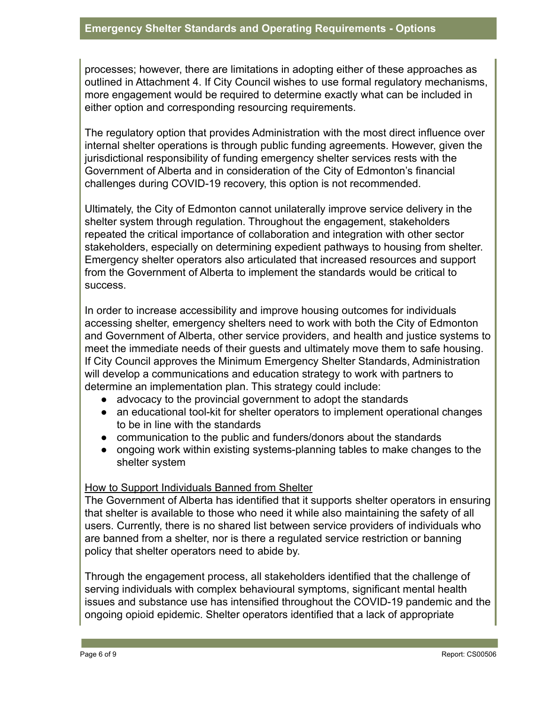processes; however, there are limitations in adopting either of these approaches as outlined in Attachment 4. If City Council wishes to use formal regulatory mechanisms, more engagement would be required to determine exactly what can be included in either option and corresponding resourcing requirements.

The regulatory option that provides Administration with the most direct influence over internal shelter operations is through public funding agreements. However, given the jurisdictional responsibility of funding emergency shelter services rests with the Government of Alberta and in consideration of the City of Edmonton's financial challenges during COVID-19 recovery, this option is not recommended.

Ultimately, the City of Edmonton cannot unilaterally improve service delivery in the shelter system through regulation. Throughout the engagement, stakeholders repeated the critical importance of collaboration and integration with other sector stakeholders, especially on determining expedient pathways to housing from shelter. Emergency shelter operators also articulated that increased resources and support from the Government of Alberta to implement the standards would be critical to success.

In order to increase accessibility and improve housing outcomes for individuals accessing shelter, emergency shelters need to work with both the City of Edmonton and Government of Alberta, other service providers, and health and justice systems to meet the immediate needs of their guests and ultimately move them to safe housing. If City Council approves the Minimum Emergency Shelter Standards, Administration will develop a communications and education strategy to work with partners to determine an implementation plan. This strategy could include:

- advocacy to the provincial government to adopt the standards
- an educational tool-kit for shelter operators to implement operational changes to be in line with the standards
- communication to the public and funders/donors about the standards
- ongoing work within existing systems-planning tables to make changes to the shelter system

### How to Support Individuals Banned from Shelter

The Government of Alberta has identified that it supports shelter operators in ensuring that shelter is available to those who need it while also maintaining the safety of all users. Currently, there is no shared list between service providers of individuals who are banned from a shelter, nor is there a regulated service restriction or banning policy that shelter operators need to abide by.

Through the engagement process, all stakeholders identified that the challenge of serving individuals with complex behavioural symptoms, significant mental health issues and substance use has intensified throughout the COVID-19 pandemic and the ongoing opioid epidemic. Shelter operators identified that a lack of appropriate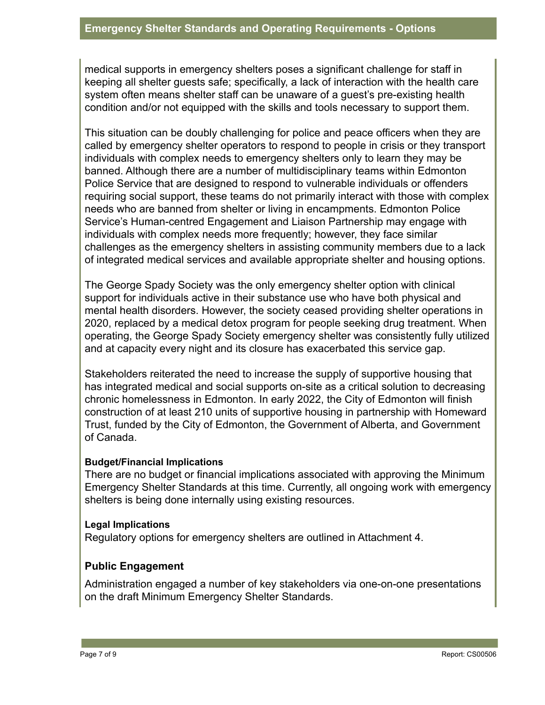medical supports in emergency shelters poses a significant challenge for staff in keeping all shelter guests safe; specifically, a lack of interaction with the health care system often means shelter staff can be unaware of a guest's pre-existing health condition and/or not equipped with the skills and tools necessary to support them.

This situation can be doubly challenging for police and peace officers when they are called by emergency shelter operators to respond to people in crisis or they transport individuals with complex needs to emergency shelters only to learn they may be banned. Although there are a number of multidisciplinary teams within Edmonton Police Service that are designed to respond to vulnerable individuals or offenders requiring social support, these teams do not primarily interact with those with complex needs who are banned from shelter or living in encampments. Edmonton Police Service's Human-centred Engagement and Liaison Partnership may engage with individuals with complex needs more frequently; however, they face similar challenges as the emergency shelters in assisting community members due to a lack of integrated medical services and available appropriate shelter and housing options.

The George Spady Society was the only emergency shelter option with clinical support for individuals active in their substance use who have both physical and mental health disorders. However, the society ceased providing shelter operations in 2020, replaced by a medical detox program for people seeking drug treatment. When operating, the George Spady Society emergency shelter was consistently fully utilized and at capacity every night and its closure has exacerbated this service gap.

Stakeholders reiterated the need to increase the supply of supportive housing that has integrated medical and social supports on-site as a critical solution to decreasing chronic homelessness in Edmonton. In early 2022, the City of Edmonton will finish construction of at least 210 units of supportive housing in partnership with Homeward Trust, funded by the City of Edmonton, the Government of Alberta, and Government of Canada.

#### **Budget/Financial Implications**

There are no budget or financial implications associated with approving the Minimum Emergency Shelter Standards at this time. Currently, all ongoing work with emergency shelters is being done internally using existing resources.

#### **Legal Implications**

Regulatory options for emergency shelters are outlined in Attachment 4.

# **Public Engagement**

Administration engaged a number of key stakeholders via one-on-one presentations on the draft Minimum Emergency Shelter Standards.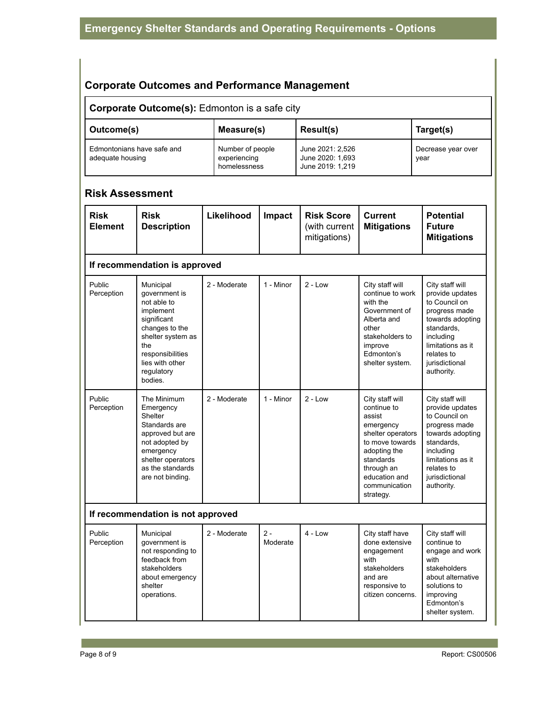# **Corporate Outcomes and Performance Management**

#### **Corporate Outcome(s):** Edmonton is a safe city Outcome(s) **Neasure(s)** Result(s) **Target(s)** Edmontonians have safe and adequate housing Number of people experiencing homelessness June 2021: 2,526 June 2020: 1,693 June 2019: 1,219 Decrease year over year

## **Risk Assessment**

| <b>Risk</b><br><b>Element</b>     | <b>Risk</b><br><b>Description</b>                                                                                                                                                   | Likelihood   | Impact            | <b>Risk Score</b><br>(with current<br>mitigations) | <b>Current</b><br><b>Mitigations</b>                                                                                                                                                    | <b>Potential</b><br><b>Future</b><br><b>Mitigations</b>                                                                                                                                |  |  |  |  |  |
|-----------------------------------|-------------------------------------------------------------------------------------------------------------------------------------------------------------------------------------|--------------|-------------------|----------------------------------------------------|-----------------------------------------------------------------------------------------------------------------------------------------------------------------------------------------|----------------------------------------------------------------------------------------------------------------------------------------------------------------------------------------|--|--|--|--|--|
|                                   | If recommendation is approved                                                                                                                                                       |              |                   |                                                    |                                                                                                                                                                                         |                                                                                                                                                                                        |  |  |  |  |  |
| Public<br>Perception              | Municipal<br>government is<br>not able to<br>implement<br>significant<br>changes to the<br>shelter system as<br>the<br>responsibilities<br>lies with other<br>regulatory<br>bodies. | 2 - Moderate | 1 - Minor         | $2 - Low$                                          | City staff will<br>continue to work<br>with the<br>Government of<br>Alberta and<br>other<br>stakeholders to<br>improve<br>Edmonton's<br>shelter system.                                 | City staff will<br>provide updates<br>to Council on<br>progress made<br>towards adopting<br>standards.<br>including<br>limitations as it<br>relates to<br>jurisdictional<br>authority. |  |  |  |  |  |
| Public<br>Perception              | The Minimum<br>Emergency<br>Shelter<br>Standards are<br>approved but are<br>not adopted by<br>emergency<br>shelter operators<br>as the standards<br>are not binding.                | 2 - Moderate | 1 - Minor         | $2 - Low$                                          | City staff will<br>continue to<br>assist<br>emergency<br>shelter operators<br>to move towards<br>adopting the<br>standards<br>through an<br>education and<br>communication<br>strategy. | City staff will<br>provide updates<br>to Council on<br>progress made<br>towards adopting<br>standards,<br>including<br>limitations as it<br>relates to<br>jurisdictional<br>authority. |  |  |  |  |  |
| If recommendation is not approved |                                                                                                                                                                                     |              |                   |                                                    |                                                                                                                                                                                         |                                                                                                                                                                                        |  |  |  |  |  |
| Public<br>Perception              | Municipal<br>government is<br>not responding to<br>feedback from<br>stakeholders<br>about emergency<br>shelter<br>operations.                                                       | 2 - Moderate | $2 -$<br>Moderate | $4 - Low$                                          | City staff have<br>done extensive<br>engagement<br>with<br>stakeholders<br>and are<br>responsive to<br>citizen concerns.                                                                | City staff will<br>continue to<br>engage and work<br>with<br>stakeholders<br>about alternative<br>solutions to<br>improving<br>Edmonton's<br>shelter system.                           |  |  |  |  |  |